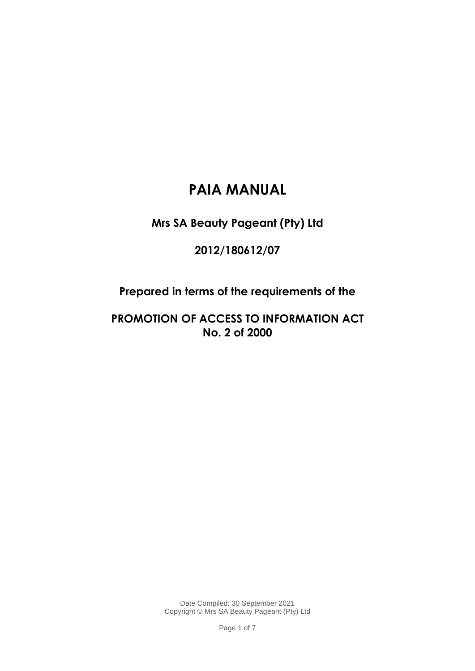# **PAIA MANUAL**

**Mrs SA Beauty Pageant (Pty) Ltd**

**2012/180612/07**

**Prepared in terms of the requirements of the**

**PROMOTION OF ACCESS TO INFORMATION ACT No. 2 of 2000**

> Date Compiled: 30 September 2021 Copyright © Mrs SA Beauty Pageant (Pty) Ltd

> > Page 1 of 7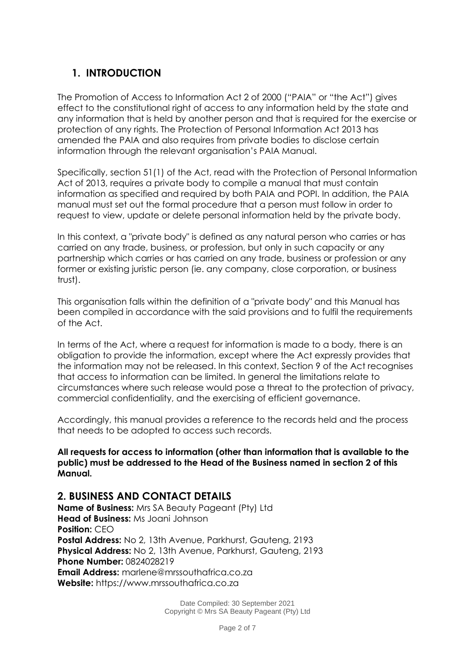## **1. INTRODUCTION**

The Promotion of Access to Information Act 2 of 2000 ("PAIA" or "the Act") gives effect to the constitutional right of access to any information held by the state and any information that is held by another person and that is required for the exercise or protection of any rights. The Protection of Personal Information Act 2013 has amended the PAIA and also requires from private bodies to disclose certain information through the relevant organisation's PAIA Manual.

Specifically, section 51(1) of the Act, read with the Protection of Personal Information Act of 2013, requires a private body to compile a manual that must contain information as specified and required by both PAIA and POPI. In addition, the PAIA manual must set out the formal procedure that a person must follow in order to request to view, update or delete personal information held by the private body.

In this context, a "private body" is defined as any natural person who carries or has carried on any trade, business, or profession, but only in such capacity or any partnership which carries or has carried on any trade, business or profession or any former or existing juristic person (ie. any company, close corporation, or business trust).

This organisation falls within the definition of a "private body" and this Manual has been compiled in accordance with the said provisions and to fulfil the requirements of the Act.

In terms of the Act, where a request for information is made to a body, there is an obligation to provide the information, except where the Act expressly provides that the information may not be released. In this context, Section 9 of the Act recognises that access to information can be limited. In general the limitations relate to circumstances where such release would pose a threat to the protection of privacy, commercial confidentiality, and the exercising of efficient governance.

Accordingly, this manual provides a reference to the records held and the process that needs to be adopted to access such records.

**All requests for access to information (other than information that is available to the public) must be addressed to the Head of the Business named in section 2 of this Manual.**

## **2. BUSINESS AND CONTACT DETAILS**

**Name of Business:** Mrs SA Beauty Pageant (Pty) Ltd **Head of Business:** Ms Joani Johnson **Position:** CEO **Postal Address:** No 2, 13th Avenue, Parkhurst, Gauteng, 2193 **Physical Address:** No 2, 13th Avenue, Parkhurst, Gauteng, 2193 **Phone Number:** 0824028219 **Email Address:** marlene@mrssouthafrica.co.za **Website:** https://www.mrssouthafrica.co.za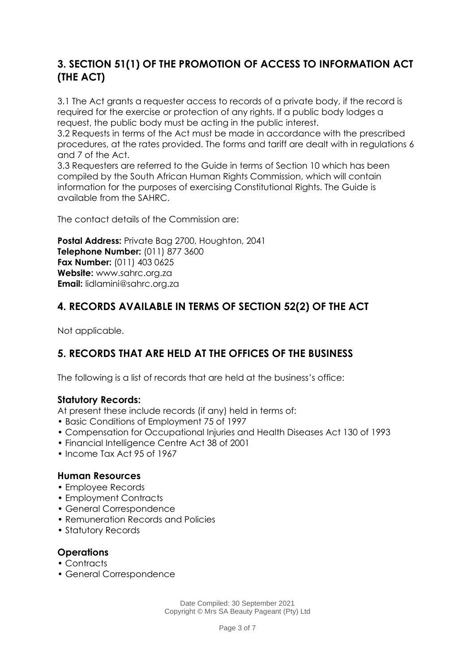## **3. SECTION 51(1) OF THE PROMOTION OF ACCESS TO INFORMATION ACT (THE ACT)**

3.1 The Act grants a requester access to records of a private body, if the record is required for the exercise or protection of any rights. If a public body lodges a request, the public body must be acting in the public interest.

3.2 Requests in terms of the Act must be made in accordance with the prescribed procedures, at the rates provided. The forms and tariff are dealt with in regulations 6 and 7 of the Act.

3.3 Requesters are referred to the Guide in terms of Section 10 which has been compiled by the South African Human Rights Commission, which will contain information for the purposes of exercising Constitutional Rights. The Guide is available from the SAHRC.

The contact details of the Commission are:

**Postal Address:** Private Bag 2700, Houghton, 2041 **Telephone Number:** (011) 877 3600 **Fax Number:** (011) 403 0625 **Website:** www.sahrc.org.za **Email:** lidlamini@sahrc.org.za

## **4. RECORDS AVAILABLE IN TERMS OF SECTION 52(2) OF THE ACT**

Not applicable.

## **5. RECORDS THAT ARE HELD AT THE OFFICES OF THE BUSINESS**

The following is a list of records that are held at the business's office:

#### **Statutory Records:**

At present these include records (if any) held in terms of:

- Basic Conditions of Employment 75 of 1997
- Compensation for Occupational Injuries and Health Diseases Act 130 of 1993
- Financial Intelligence Centre Act 38 of 2001
- Income Tax Act 95 of 1967

#### **Human Resources**

- Employee Records
- Employment Contracts
- General Correspondence
- Remuneration Records and Policies
- Statutory Records

#### **Operations**

- Contracts
- General Correspondence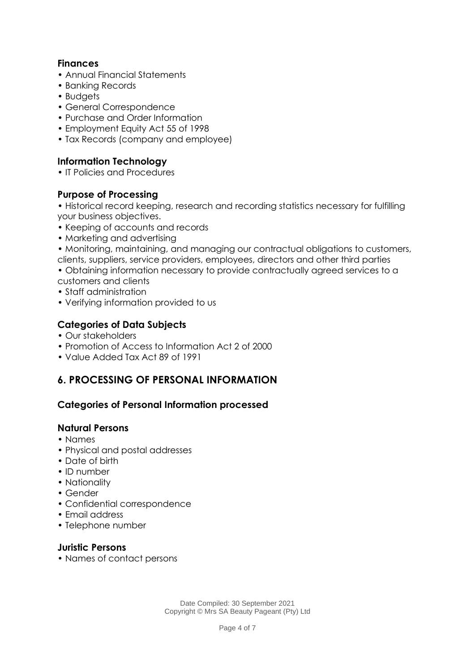### **Finances**

- Annual Financial Statements
- Banking Records
- Budgets
- General Correspondence
- Purchase and Order Information
- Employment Equity Act 55 of 1998
- Tax Records (company and employee)

### **Information Technology**

• IT Policies and Procedures

#### **Purpose of Processing**

• Historical record keeping, research and recording statistics necessary for fulfilling your business objectives.

- Keeping of accounts and records
- Marketing and advertising
- Monitoring, maintaining, and managing our contractual obligations to customers, clients, suppliers, service providers, employees, directors and other third parties
- Obtaining information necessary to provide contractually agreed services to a customers and clients
- Staff administration
- Verifying information provided to us

#### **Categories of Data Subjects**

- Our stakeholders
- Promotion of Access to Information Act 2 of 2000
- Value Added Tax Act 89 of 1991

## **6. PROCESSING OF PERSONAL INFORMATION**

#### **Categories of Personal Information processed**

#### **Natural Persons**

- Names
- Physical and postal addresses
- Date of birth
- ID number
- Nationality
- Gender
- Confidential correspondence
- Email address
- Telephone number

#### **Juristic Persons**

• Names of contact persons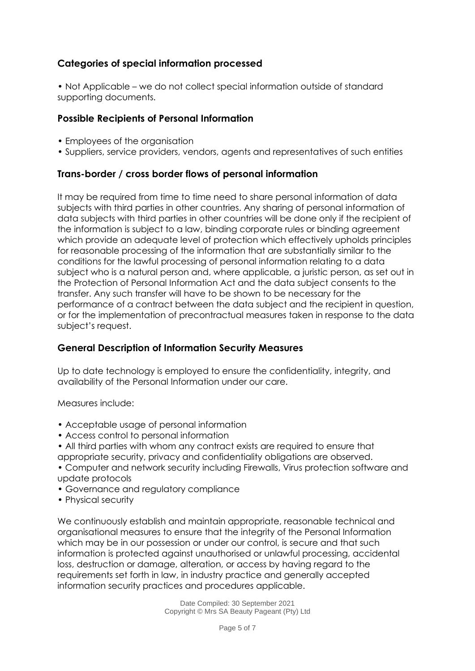### **Categories of special information processed**

• Not Applicable – we do not collect special information outside of standard supporting documents.

#### **Possible Recipients of Personal Information**

- Employees of the organisation
- Suppliers, service providers, vendors, agents and representatives of such entities

#### **Trans-border / cross border flows of personal information**

It may be required from time to time need to share personal information of data subjects with third parties in other countries. Any sharing of personal information of data subjects with third parties in other countries will be done only if the recipient of the information is subject to a law, binding corporate rules or binding agreement which provide an adequate level of protection which effectively upholds principles for reasonable processing of the information that are substantially similar to the conditions for the lawful processing of personal information relating to a data subject who is a natural person and, where applicable, a juristic person, as set out in the Protection of Personal Information Act and the data subject consents to the transfer. Any such transfer will have to be shown to be necessary for the performance of a contract between the data subject and the recipient in question, or for the implementation of precontractual measures taken in response to the data subject's request.

#### **General Description of Information Security Measures**

Up to date technology is employed to ensure the confidentiality, integrity, and availability of the Personal Information under our care.

Measures include:

- Acceptable usage of personal information
- Access control to personal information
- All third parties with whom any contract exists are required to ensure that appropriate security, privacy and confidentiality obligations are observed.
- Computer and network security including Firewalls, Virus protection software and update protocols
- Governance and regulatory compliance
- Physical security

We continuously establish and maintain appropriate, reasonable technical and organisational measures to ensure that the integrity of the Personal Information which may be in our possession or under our control, is secure and that such information is protected against unauthorised or unlawful processing, accidental loss, destruction or damage, alteration, or access by having regard to the requirements set forth in law, in industry practice and generally accepted information security practices and procedures applicable.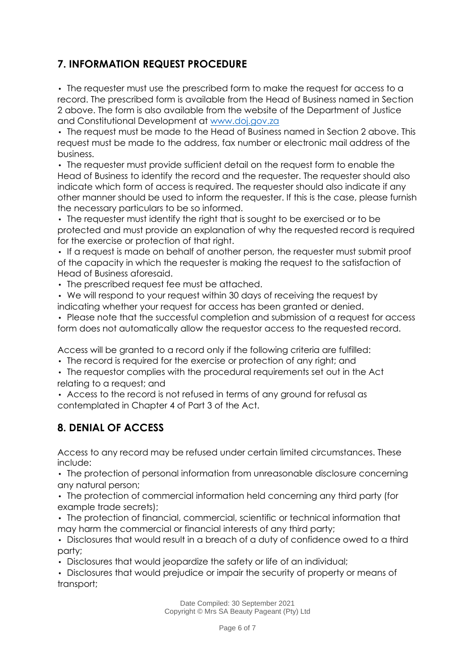## **7. INFORMATION REQUEST PROCEDURE**

• The requester must use the prescribed form to make the request for access to a record. The prescribed form is available from the Head of Business named in Section 2 above. The form is also available from the website of the Department of Justice and Constitutional Development at [www.doj.gov.za](http://www.doj.gov.za/)

• The request must be made to the Head of Business named in Section 2 above. This request must be made to the address, fax number or electronic mail address of the business.

• The requester must provide sufficient detail on the request form to enable the Head of Business to identify the record and the requester. The requester should also indicate which form of access is required. The requester should also indicate if any other manner should be used to inform the requester. If this is the case, please furnish the necessary particulars to be so informed.

• The requester must identify the right that is sought to be exercised or to be protected and must provide an explanation of why the requested record is required for the exercise or protection of that right.

• If a request is made on behalf of another person, the requester must submit proof of the capacity in which the requester is making the request to the satisfaction of Head of Business aforesaid.

• The prescribed request fee must be attached.

• We will respond to your request within 30 days of receiving the request by indicating whether your request for access has been granted or denied.

• Please note that the successful completion and submission of a request for access form does not automatically allow the requestor access to the requested record.

Access will be granted to a record only if the following criteria are fulfilled:

• The record is required for the exercise or protection of any right; and

• The requestor complies with the procedural requirements set out in the Act relating to a request; and

• Access to the record is not refused in terms of any ground for refusal as contemplated in Chapter 4 of Part 3 of the Act.

## **8. DENIAL OF ACCESS**

Access to any record may be refused under certain limited circumstances. These include:

• The protection of personal information from unreasonable disclosure concerning any natural person;

• The protection of commercial information held concerning any third party (for example trade secrets);

• The protection of financial, commercial, scientific or technical information that may harm the commercial or financial interests of any third party;

• Disclosures that would result in a breach of a duty of confidence owed to a third party;

• Disclosures that would jeopardize the safety or life of an individual;

• Disclosures that would prejudice or impair the security of property or means of transport;